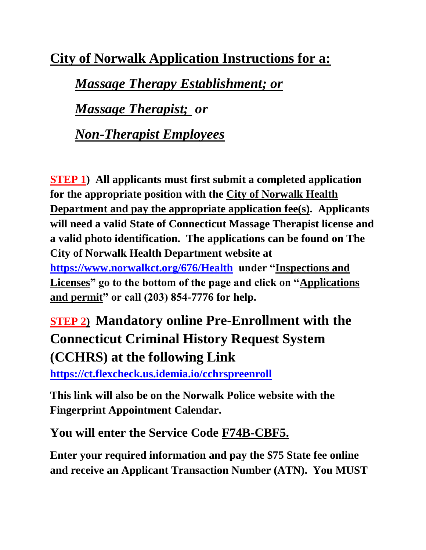**City of Norwalk Application Instructions for a:** 

*Massage Therapy Establishment; or*

*Massage Therapist; or*

*Non-Therapist Employees*

**STEP 1) All applicants must first submit a completed application for the appropriate position with the City of Norwalk Health Department and pay the appropriate application fee(s). Applicants will need a valid State of Connecticut Massage Therapist license and a valid photo identification. The applications can be found on The City of Norwalk Health Department website at <https://www.norwalkct.org/676/Health>under "Inspections and Licenses" go to the bottom of the page and click on "Applications and permit" or call (203) 854-7776 for help.**

## **STEP 2) Mandatory online Pre-Enrollment with the Connecticut Criminal History Request System (CCHRS) at the following Link**

**<https://ct.flexcheck.us.idemia.io/cchrspreenroll>**

**This link will also be on the Norwalk Police website with the Fingerprint Appointment Calendar.**

**You will enter the Service Code F74B-CBF5.**

**Enter your required information and pay the \$75 State fee online and receive an Applicant Transaction Number (ATN). You MUST**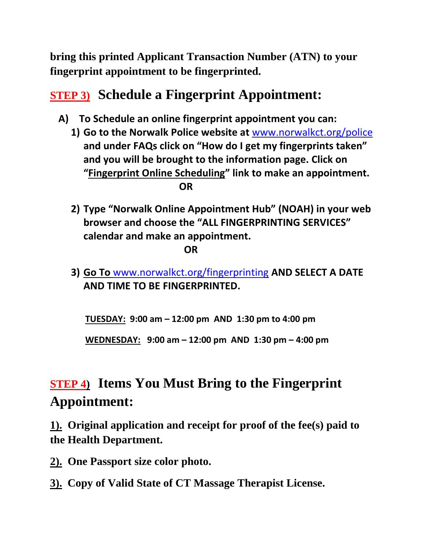**bring this printed Applicant Transaction Number (ATN) to your fingerprint appointment to be fingerprinted.**

## **STEP 3) Schedule a Fingerprint Appointment:**

- **A) To Schedule an online fingerprint appointment you can:**
	- **1) Go to the Norwalk Police website at** [www.norwalkct.org/police](http://www.norwalkct.org/police) **and under FAQs click on "How do I get my fingerprints taken" and you will be brought to the information page. Click on "Fingerprint Online Scheduling" link to make an appointment.** *OR*
	- **2) Type "Norwalk Online Appointment Hub" (NOAH) in your web browser and choose the "ALL FINGERPRINTING SERVICES" calendar and make an appointment.**

*<u> OR</u>* 

**3) Go To** [www.norwalkct.org/fingerprinting](http://www.norwalkct.org/fingerprinting) **AND SELECT A DATE AND TIME TO BE FINGERPRINTED.**

 **TUESDAY: 9:00 am – 12:00 pm AND 1:30 pm to 4:00 pm**

 **WEDNESDAY: 9:00 am – 12:00 pm AND 1:30 pm – 4:00 pm**

## **STEP 4) Items You Must Bring to the Fingerprint Appointment:**

**1). Original application and receipt for proof of the fee(s) paid to the Health Department.**

- **2). One Passport size color photo.**
- **3). Copy of Valid State of CT Massage Therapist License.**